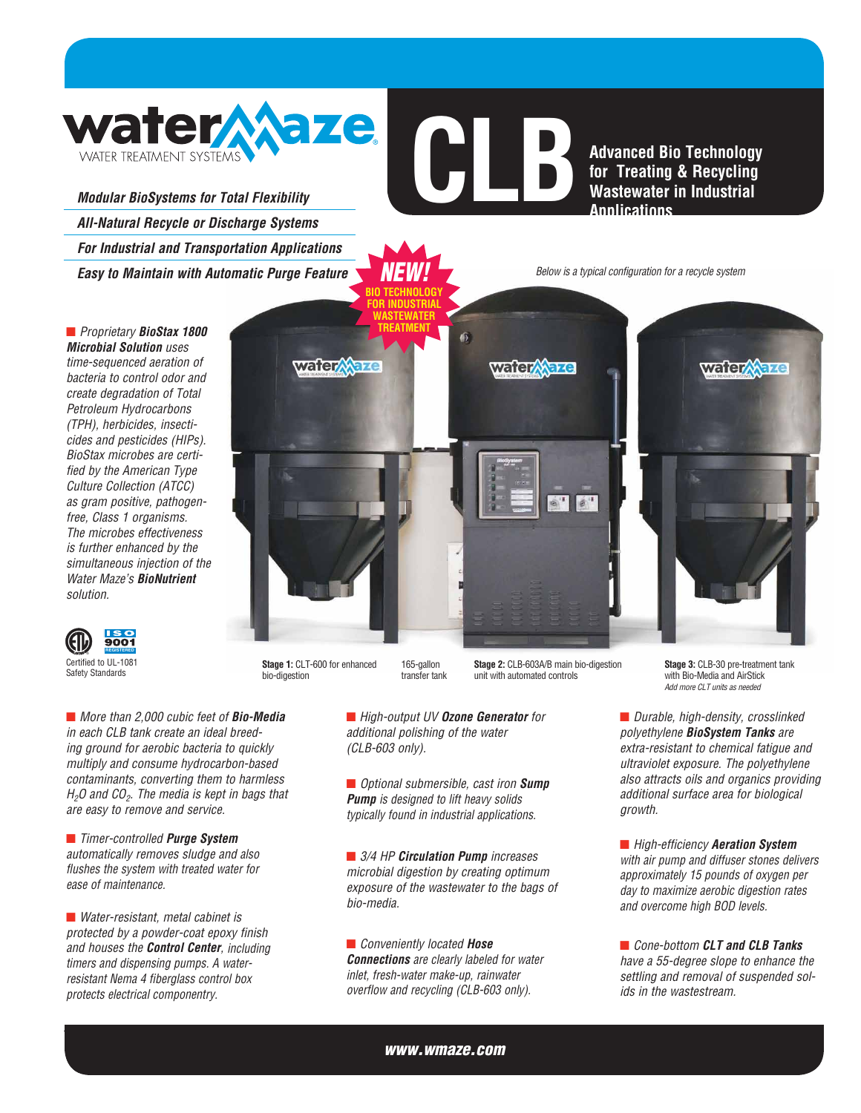

*Modular BioSystems for Total Flexibility All-Natural Recycle or Discharge Systems For Industrial and Transportation Applications Easy to Maintain with Automatic Purge Feature* **CLBAD Advanced Bio Technology**<br> **CLBAD** Advanced Bio Technology<br> **CLBAD** Mastewater in Industrial<br>
Annlications **for Treating & Recycling Wastewater in Industrial Applications**

*NEW! Below is a typical configuration for a recycle system*

Q *Proprietary BioStax 1800 Microbial Solution uses time-sequenced aeration of bacteria to control odor and create degradation of Total Petroleum Hydrocarbons (TPH), herbicides, insecticides and pesticides (HIPs). BioStax microbes are certified by the American Type Culture Collection (ATCC) as gram positive, pathogenfree, Class 1 organisms. The microbes effectiveness is further enhanced by the simultaneous injection of the Water Maze's BioNutrient solution.*



**Stage 1:** CLT-600 for enhanced bio-digestion

**Stage 2:** CLB-603A/B main bio-digestion unit with automated controls

■ *More than 2,000 cubic feet of Bio-Media in each CLB tank create an ideal breeding ground for aerobic bacteria to quickly multiply and consume hydrocarbon-based contaminants, converting them to harmless H2O and CO2. The media is kept in bags that are easy to remove and service.*

■ *Timer-controlled Purge System automatically removes sludge and also flushes the system with treated water for ease of maintenance.*

■ *Water-resistant, metal cabinet is protected by a powder-coat epoxy finish and houses the Control Center, including timers and dispensing pumps. A waterresistant Nema 4 fiberglass control box protects electrical componentry.*

Q *High-output UV Ozone Generator for additional polishing of the water (CLB-603 only).*

165-gallon transfer tank

**BIO TECHNOLOG** 

■ *Optional submersible, cast iron Sump Pump is designed to lift heavy solids typically found in industrial applications.*

■ 3/4 HP **Circulation Pump** *increases microbial digestion by creating optimum exposure of the wastewater to the bags of bio-media.*

**E** *Conveniently located Hose Connections are clearly labeled for water inlet, fresh-water make-up, rainwater overflow and recycling (CLB-603 only).*

**Stage 3:** CLB-30 pre-treatment tank with Bio-Media and AirStick *Add more CLT units as needed*

■ *Durable, high-density, crosslinked polyethylene BioSystem Tanks are extra-resistant to chemical fatigue and ultraviolet exposure. The polyethylene also attracts oils and organics providing additional surface area for biological growth.*

■ *High-efficiency Aeration System with air pump and diffuser stones delivers approximately 15 pounds of oxygen per day to maximize aerobic digestion rates and overcome high BOD levels.*

■ *Cone-bottom CLT and CLB Tanks have a 55-degree slope to enhance the settling and removal of suspended solids in the wastestream.*

*www.wmaze.com*

**FOR INDUSTRIAL WASTEWATER TREATMENT water Aaze water** aze water/